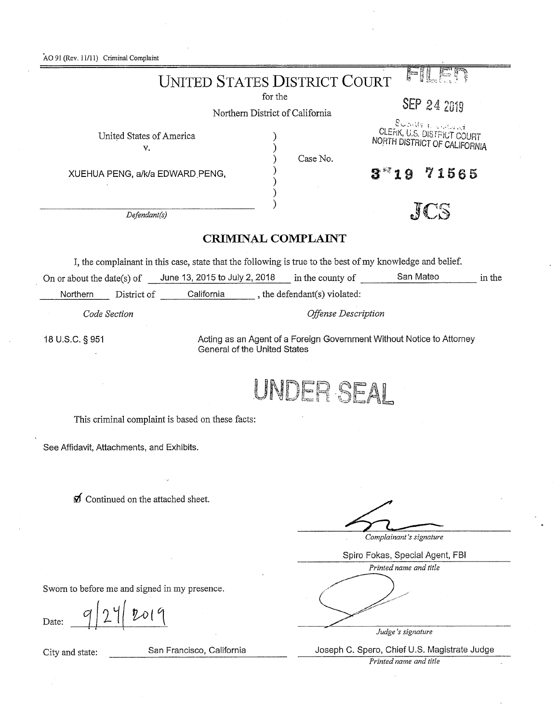AO 91 (Rev. *11111)* Criminal Complaint

| <b>UNITED STATES DISTRICT COURT</b>                                                                       |                                                                       |
|-----------------------------------------------------------------------------------------------------------|-----------------------------------------------------------------------|
| for the                                                                                                   |                                                                       |
| Northern District of California                                                                           | SEP 24 2019                                                           |
|                                                                                                           | Scotts a modern                                                       |
| United States of America                                                                                  | CLERK, U.S. DISTRICT COURT<br>NORTH DISTRICT OF CALIFORNIA            |
| V.                                                                                                        | Case No.                                                              |
| XUEHUA PENG, a/k/a EDWARD PENG,                                                                           | 71565                                                                 |
|                                                                                                           | 9                                                                     |
|                                                                                                           |                                                                       |
| Defendant(s)                                                                                              |                                                                       |
|                                                                                                           |                                                                       |
| <b>CRIMINAL COMPLAINT</b>                                                                                 |                                                                       |
| I, the complainant in this case, state that the following is true to the best of my knowledge and belief. |                                                                       |
| On or about the date(s) of June 13, 2015 to July 2, 2018 in the county of San Mateo                       | in the                                                                |
| District of California (b) contact the defendant (s) violated:<br>Northern                                |                                                                       |
| Code Section                                                                                              | Offense Description                                                   |
|                                                                                                           |                                                                       |
| 18 U.S.C. § 951<br>General of the United States                                                           | Acting as an Agent of a Foreign Government Without Notice to Attorney |
|                                                                                                           |                                                                       |
|                                                                                                           |                                                                       |
|                                                                                                           | UNDER SEAL                                                            |
|                                                                                                           |                                                                       |
| This criminal complaint is based on these facts:                                                          |                                                                       |
|                                                                                                           |                                                                       |
| See Affidavit, Attachments, and Exhibits.                                                                 |                                                                       |
|                                                                                                           |                                                                       |
|                                                                                                           |                                                                       |
| Continued on the attached sheet.                                                                          |                                                                       |
|                                                                                                           |                                                                       |
|                                                                                                           |                                                                       |
|                                                                                                           | Complainant's signature                                               |
|                                                                                                           | Spiro Fokas, Special Agent, FBI                                       |
|                                                                                                           | Printed name and title                                                |
|                                                                                                           |                                                                       |
| Sworn to before me and signed in my presence.                                                             |                                                                       |
|                                                                                                           |                                                                       |
| Date:                                                                                                     |                                                                       |
|                                                                                                           | Judge's signature                                                     |

City and state: San Francisco, California Joseph C. Spero, Chief U.S. Magistrate Judge *Printed name and title*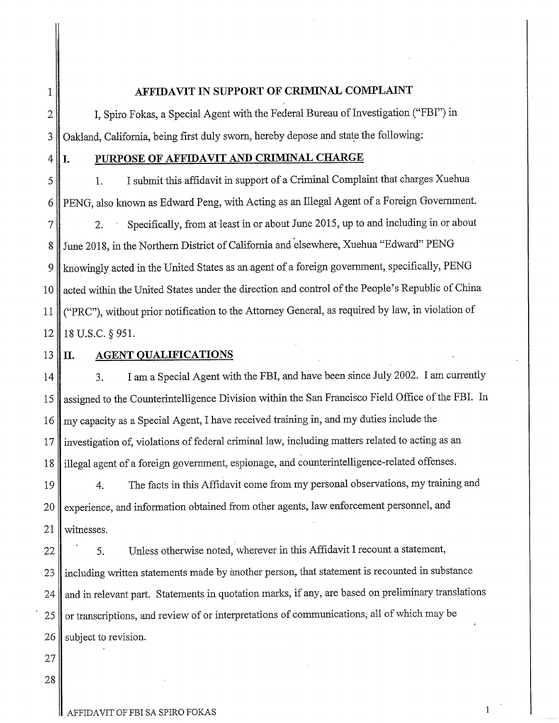#### 1 **AFFIDAVIT IN SUPPORT OF CRIMINAL COMPLAINT**

2 **||** I, Spiro Fokas, a Special Agent with the Federal Bureau of Investigation ("FBI") in 3 Oakland, California, being first duly sworn, hereby depose and state the following:

#### 4 **I. PURPOSE OF AFFIDAVIT AND CRIMINAL CHARGE**

 1. I submit this affidavit in support of a Criminal Complaint that charges Xuehua PENG, also known as Edward Peng, with Acting as an Illegal Agent of a Foreign Government. 7 2. Specifically, from at least in or about June 2015, up to and including in or about 8 June 2018, in the Northern District of California and elsewhere, Xuehua "Edward" PENG knowingly acted in the United States as an agent of a foreign government, specifically, PENG 10 acted within the United States under the direction and control of the People's Republic of China ("PRC"), without prior notification to the Attorney General, as required by law, in violation of 18 U.S.C. § 951.

 $13$  |  $\Pi$ .

#### **AGENT QUALIFICATIONS**

14 3. I am a Special Agent with the FBI, and have been since July 2002. I am currently 15 assigned to the Counterintelligence Division within the San Francisco Field Office of the FBI. In 16 my capacity as a Special Agent, I have received training in, and my duties include the 17 Investigation of, violations of federal criminal law, including matters related to acting as an 18 illegal agent of a foreign government, espionage, and counterintelligence-related offenses.

19 4. The facts in this Affidavit come from my personal observations, my training and 20 experience, and information obtained from other agents, law enforcement personnel, and 21 | witnesses.

22 | 5. Unless otherwise noted, wherever in this Affidavit I recount a statement, 23 including written statements made by another person, that statement is recounted in substance 24 and in relevant part. Statements in quotation marks, if any, are based on preliminary translations 25 or transcriptions, and review of or interpretations of communications, all of which may be  $26$  subject to revision.

27 28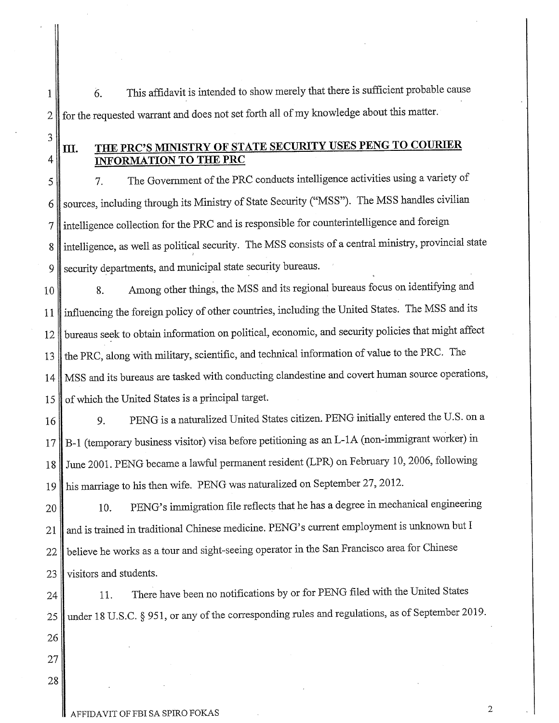6. This affidavit is intended to show merely that there is sufficient probable cause 2 for the requested warrant and does not set forth all of my knowledge about this matter.

## **III. THE PRC'S MINISTRY OF STATE SECURITY USES PENG TO COURIER** 4 **INFORMATION TO THE PRC**

5 7. The Government of the PRC conducts intelligence activities using a variety of 6 sources, including through its Ministry of State Security ("MSS"). The MSS handles civilian 7 intelligence collection for the PRC and is responsible for counterintelligence and foreign 8 intelligence, as well as political security. The MSS consists of a central ministry, provincial state 9 security departments, and municipal state security bureaus.

10 8. Among other things, the MSS and its regional bureaus focus on identifying and 11 influencing the foreign policy of other countries, including the United States. The MSS and its 12 bureaus seek to obtain information on political, economic, and security policies that might affect 13 the PRC, along with military, scientific, and technical information of value to the PRC. The 14 MSS and its bureaus are tasked with conducting clandestine and covert human source operations, 15 of which the United States is a principal target.

16 9. PENG is a naturalized United States citizen. PENG initially entered the U.S. on a B-1 (temporary business visitor) visa before petitioning as an L-1A (non-immigrant worker) in June 2001. PENG became a lawful permanent resident (LPR) on February 10,2006, following his marriage to his then wife. PENG was naturalized on September 27,2012.

20 10. PENG's immigration file reflects that he has a degree in mechanical engineering 21 and is trained in traditional Chinese medicine. PENG's current employment is unknown but I 22 believe he works as a tour and sight-seeing operator in the San Francisco area for Chinese 23 visitors and students.

24 11. There have been no notifications by or for PENG filed with the United States 25 under 18 U.S.C. § 951, or any of the corresponding rules and regulations, as of September 2019.

26 27

28

1

3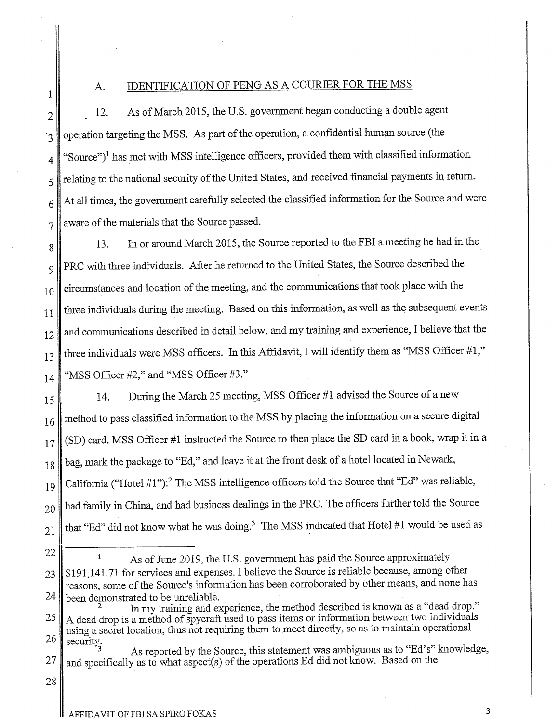### A. IDENTIFICATION OF PENG AS A COURIER FOR THE MSS

2 12. As of March 2015, the U.S. government began conducting a double agent 3 operation targeting the MSS. As part of the operation, a confidential human source (the  $4 \parallel$  "Source")<sup>1</sup> has met with MSS intelligence officers, provided them with classified information  $5 \parallel$  relating to the national security of the United States, and received financial payments in return.  $6$  At all times, the government carefully selected the classified information for the Source and were  $7 \parallel$  aware of the materials that the Source passed.

8 13. In or around March 2015, the Source reported to the FBI a meeting he had in the 9 PRC with three individuals. After he returned to the United States, the Source described the  $10$  circumstances and location of the meeting, and the communications that took place with the  $11$  three individuals during the meeting. Based on this information, as well as the subsequent events 12 and communications described in detail below, and my training and experience, I believe that the  $13$  three individuals were MSS officers. In this Affidavit, I will identify them as "MSS Officer #1,"  $_{14}$  "MSS Officer #2," and "MSS Officer #3."

15 14. During the March 25 meeting, MSS Officer #1 advised the Source of a new 16 method to pass classified information to the MSS by placing the information on a secure digital  $17$  (SD) card. MSS Officer #1 instructed the Source to then place the SD card in a book, wrap it in a 18 bag, mark the package to "Ed," and leave it at the front desk of a hotel located in Newark, 19 California ("Hotel #1").<sup>2</sup> The MSS intelligence officers told the Source that "Ed" was reliable,  $20$  had family in China, and had business dealings in the PRC. The officers further told the Source 21 that "Ed" did not know what he was doing.<sup>3</sup> The MSS indicated that Hotel #1 would be used as

22

1

<sup>1</sup> As of June 2019, the U.S. government has paid the Source approximately

23 | \$191,141.71 for services and expenses. I believe the Source is reliable because, among other reasons, some of the Source's information has been corroborated by other means, and none has  $24$  been demonstrated to be unreliable.

In my training and experience, the method described is known as a "dead drop." 25 A dead drop is a method of spycraft used to pass items or information between two individuals using a secret location, thus not requiring them to meet directly, so as to maintain operational  $26 \parallel$  security.

As reported by the Source, this statement was ambiguous as to "Ed's" knowledge, 27 and specifically as to what aspect(s) of the operations Ed did not know. Based on the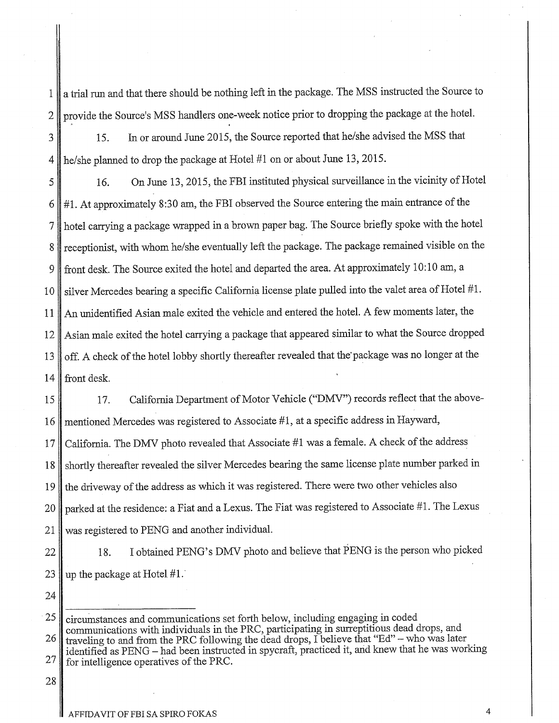1 || a trial run and that there should be nothing left in the package. The MSS instructed the Source to 2 provide the Source's MSS handlers one-week notice prior to dropping the package at the hotel.

3

15. In or around June 2015, the Source reported that he/she advised the MSS that 4 he/she planned to drop the package at Hotel #1 on or about June 13,2015.

16. On June 13,2015, the FBI instituted physical surveillance in the vicinity of Hotel 5 6  $\#1$ . At approximately 8:30 am, the FBI observed the Source entering the main entrance of the 7 hotel carrying a package wrapped in a brown paper bag. The Source briefly spoke with the hotel 8 receptionist, with whom he/she eventually left the package. The package remained visible on the 9 front desk. The Source exited the hotel and departed the area. At approximately 10:10 am, a 10 silver Mercedes bearing a specific California license plate pulled into the valet area of Hotel #1. 11 An unidentified Asian male exited the vehicle and entered the hotel. A few moments later, the 12 Asian male exited the hotel carrying a package that appeared similar to what the Source dropped 13 off. A check of the hotel lobby shortly thereafter revealed that the package was no longer at the  $14$  front desk.

15 | 17. California Department of Motor Vehicle ("DMV") records reflect that the above-16 mentioned Mercedes was registered to Associate #1, at a specific address in Hayward, California. The DMV photo revealed that Associate #1 was a female. A check of the address shortly thereafter revealed the silver Mercedes bearing the same license plate number parked in the driveway of the address as which it was registered. There were two other vehicles also parked at the residence: a Fiat and a Lexus. The Fiat was registered to Associate #1. The Lexus was registered to PENG and another individual.

22 || 18. I obtained PENG's DMV photo and believe that PENG is the person who picked 23 up the package at Hotel  $#1$ .

24

 $25$  circumstances and communications set forth below, including engaging in coded communications with individuals in the PRC, participating in surreptitious dead drops, and 26 traveling to and from the PRC following the dead drops, I believe that "Ed" - who was later identified as PENG - had been instructed in spycraft, practiced it, and knew that he was working 27 for intelligence operatives of the PRC.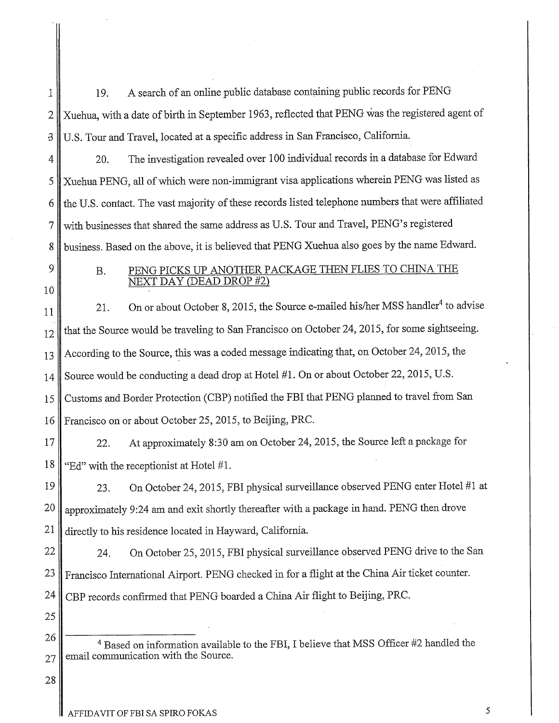1 19. A search of an online public database containing public records for PENG 2 Xuehua, with a date of birth in September 1963, reflected that PENG was the registered agent of -3 U.S. Tour and Travel, located at a specific address in San Francisco, California.

4 || 20. The investigation revealed over 100 individual records in a database for Edward 5 Xuehua PENG, all of which were non-immigrant visa applications wherein PENG was listed as 6 the U.S. contact. The vast majority of these records listed telephone numbers that were affiliated 7 with businesses that shared the same address as U.S. Tour and Travel, PENG's registered 8 business. Based on the above, it is believed that PENG Xuehua also goes by the name Edward.

10

## 9 B. PENG PICKS UP ANOTHER PACKAGE THEN FLIES TO CHINA THE NEXT DAY (DEAD DROP #2)

11 21. On or about October 8, 2015, the Source e-mailed his/her MSS handler<sup>4</sup> to advise 12 that the Source would be traveling to San Francisco on October 24, 2015, for some sightseeing. 13 According to the Source, this was a coded message indicating that, on October 24, 2015, the 14 Source would be conducting a dead drop at Hotel #1. On or about October 22, 2015, U.S. 15 Customs and Border Protection (CBP) notified the FBI that PENG planned to travel from San 16 Francisco on or about October 25,2015, to Beijing, PRC.

17 22. At approximately 8:30 am on October 24, 2015, the Source left a package for 18 "Ed" with the receptionist at Hotel #1.

23. On October 24,2015, FBI physical surveillance observed PENG enter Hotel #1 at 19 20 approximately 9:24 am and exit shortly thereafter with a package in hand. PENG then drove  $21$  directly to his residence located in Hayward, California.

22 24. On October 25, 2015, FBI physical surveillance observed PENG drive to the San 23 Francisco International Airport. PENG checked in for a flight at the China Air ticket counter. 24 CBP records confirmed that PENG boarded a China Air flight to Beijing, PRC.

26 <sup>4</sup> Based on information available to the FBI, I believe that MSS Officer #2 handled the  $27$  email communication with the Source.

28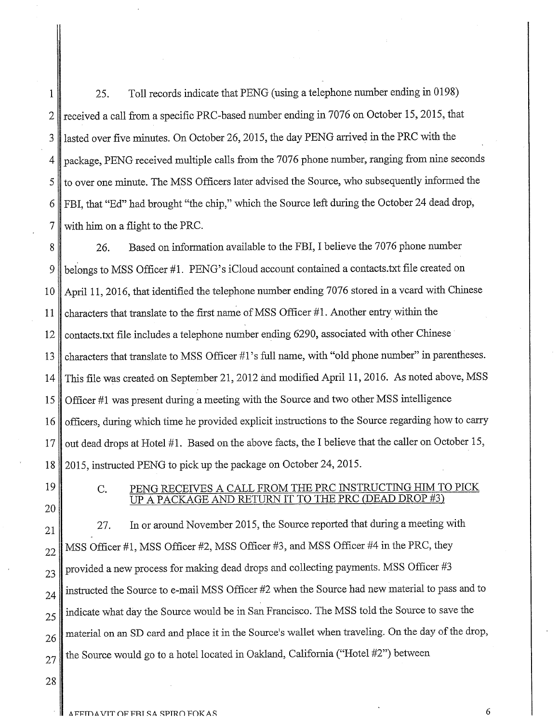1 25. Toll records indicate that PENG (using a telephone number ending in 0198) 2 received a call from a specific PRC-based number ending in 7076 on October 15, 2015, that 3 lasted over five minutes. On October 26, 2015, the day PENG arrived in the PRC with the 4 package, PENG received multiple calls from the 7076 phone number, ranging from nine seconds 5 to over one minute. The MSS Officers later advised the Source, who subsequently informed the 6 FBI, that "Ed" had brought "the chip," which the Source left during the October 24 dead drop,  $7 \parallel$  with him on a flight to the PRC.

8 26. Based on information available to the FBI, I believe the 7076 phone number 9 belongs to MSS Officer #1. PENG's iCloud account contained a contacts.txt file created on 10 April 11, 2016, that identified the telephone number ending 7076 stored in a vcard with Chinese 11 characters that translate to the first name ofMSS Officer #1. Another entry within the 12 contacts.txt file includes a telephone number ending 6290, associated with other Chinese 13 characters that translate to MSS Officer #1's full name, with "old phone number" in parentheses. 14 This file was created on September 21,2012 and modified April 11,2016. As noted above, MSS 15 Officer #1 was present during a meeting with the Source and two other MSS intelligence 16 officers, during which time he provided explicit instructions to the Source regarding how to carry 17 out dead drops at Hotel #1. Based on the above facts, the I believe that the caller on October 15, 18 2015, instructed PENG to pick up the package on October 24,2015.

19 20

## C. PENG RECEIVES A CALL FROM THE PRC INSTRUCTING HIM TO PICK UP A PACKAGE AND RETURN IT TO THE PRC (DEAD DROP #3)

27. In or around November 2015, the Source reported that during a meeting with 21  $22$  MSS Officer #1, MSS Officer #2, MSS Officer #3, and MSS Officer #4 in the PRC, they  $23$  provided a new process for making dead drops and collecting payments. MSS Officer #3  $_{24}$  instructed the Source to e-mail MSS Officer #2 when the Source had new material to pass and to  $25$  indicate what day the Source would be in San Francisco. The MSS told the Source to save the 26 material on an SD card and place it in the Source's wallet when traveling. On the day of the drop,  $27$  the Source would go to a hotel located in Oakland, California ("Hotel #2") between

28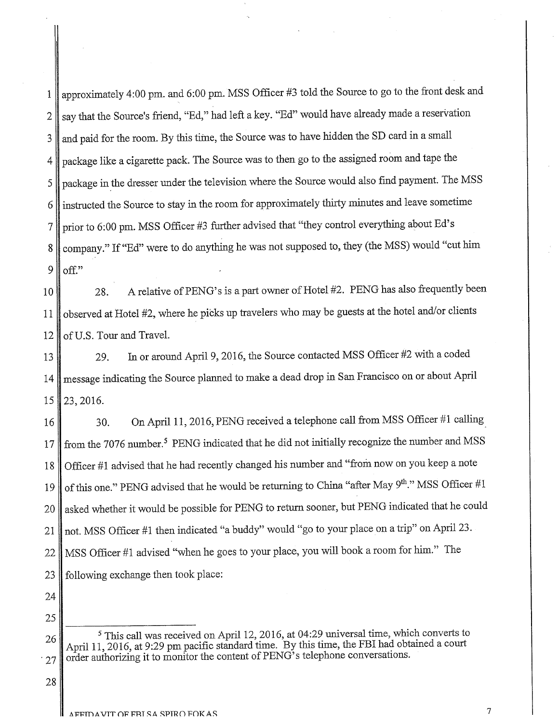1 approximately 4:00 pm. and 6:00 pm. MSS Officer #3 told the Source to go to the front desk and 2 say that the Source's friend, "Ed," had left a key. "Ed" would have already made a reservation 3 and paid for the room. By this time, the Source was to have hidden the SD card in a small 4 package like a cigarette pack. The Source was to then go to the assigned room and tape the 5 package in the dresser under the television where the Source would also find payment. The MSS 6 instructed the Source to stay in the room for approximately thirty minutes and leave sometime 7 prior to 6:00 pm. MSS Officer #3 further advised that "they control everything about Ed's 8 company." If "Ed" were to do anything he was not supposed to, they (the MSS) would "cut him  $9$  off."

10 28. A relative of PENG's is a part owner of Hotel #2. PENG has also frequently been 11 observed at Hotel #2, where he picks up travelers who may be guests at the hotel and/or clients  $12$  of U.S. Tour and Travel.

13 29. In or around April 9, 2016, the Source contacted MSS Officer #2 with a coded 14 message indicating the Source planned to make a dead drop in San Francisco on or about April  $15 \parallel 23, 2016.$ 

16 30. On April 11, 2016, PENG received a telephone call from MSS Officer #1 calling 17 from the 7076 number.<sup>5</sup> PENG indicated that he did not initially recognize the number and MSS 18 Officer #1 advised that he had recently changed his number and "from now on you keep a note 19 of this one." PENG advised that he would be returning to China "after May 9<sup>th</sup>." MSS Officer #1 20 asked whether it would be possible for PENG to return sooner, but PENG indicated that he could 21 not. MSS Officer #1 then indicated "a buddy" would "go to your place on a trip" on April 23. 22 MSS Officer #1 advised "when he goes to your place, you will book a room for him." The 23 following exchange then took place:

24 25

26 <sup>5</sup> This call was received on April 12, 2016, at 04:29 universal time, which converts to April 11, 2016, at 9:29 pm pacific standard time. By this time, the FBI had obtained a court  $27$  order authorizing it to monitor the content of PENG<sup>5</sup>'s telephone conversations.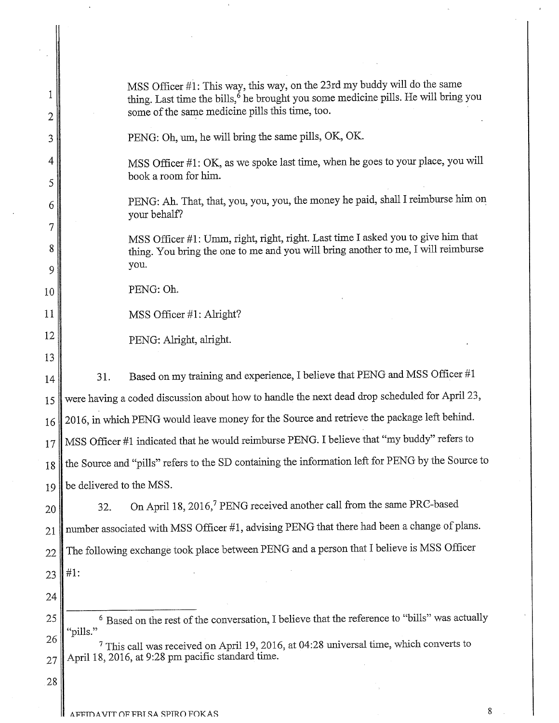| 1<br>2 | MSS Officer #1: This way, this way, on the 23rd my buddy will do the same<br>thing. Last time the bills, <sup>6</sup> he brought you some medicine pills. He will bring you<br>some of the same medicine pills this time, too. |
|--------|--------------------------------------------------------------------------------------------------------------------------------------------------------------------------------------------------------------------------------|
| 3      | PENG: Oh, um, he will bring the same pills, OK, OK.                                                                                                                                                                            |
| 4<br>5 | MSS Officer #1: OK, as we spoke last time, when he goes to your place, you will<br>book a room for him.                                                                                                                        |
| 6<br>7 | PENG: Ah. That, that, you, you, you, the money he paid, shall I reimburse him on<br>your behalf?                                                                                                                               |
| 8<br>9 | MSS Officer #1: Umm, right, right, right. Last time I asked you to give him that<br>thing. You bring the one to me and you will bring another to me, I will reimburse<br>you.                                                  |
| 10     | PENG: Oh.                                                                                                                                                                                                                      |
| 11     | MSS Officer #1: Alright?                                                                                                                                                                                                       |
| 12     | PENG: Alright, alright.                                                                                                                                                                                                        |
| 13     |                                                                                                                                                                                                                                |
| 14     | Based on my training and experience, I believe that PENG and MSS Officer #1<br>31.                                                                                                                                             |
| 15     | were having a coded discussion about how to handle the next dead drop scheduled for April 23,                                                                                                                                  |
| 16     | 2016, in which PENG would leave money for the Source and retrieve the package left behind.                                                                                                                                     |
| 17     | MSS Officer #1 indicated that he would reimburse PENG. I believe that "my buddy" refers to                                                                                                                                     |
|        | 18 the Source and "pills" refers to the SD containing the information left for PENG by the Source to                                                                                                                           |
| 19     | be delivered to the MSS.                                                                                                                                                                                                       |
| 20     | On April 18, 2016, <sup>7</sup> PENG received another call from the same PRC-based<br>32.                                                                                                                                      |
| 21     | number associated with MSS Officer #1, advising PENG that there had been a change of plans.                                                                                                                                    |
| 22     | The following exchange took place between PENG and a person that I believe is MSS Officer                                                                                                                                      |
| 23     | #1:                                                                                                                                                                                                                            |
| 24     |                                                                                                                                                                                                                                |
| 25     | <sup>6</sup> Based on the rest of the conversation, I believe that the reference to "bills" was actually                                                                                                                       |
| 26     | "pills."                                                                                                                                                                                                                       |
| 27     | <sup>7</sup> This call was received on April 19, 2016, at 04:28 universal time, which converts to<br>April 18, 2016, at 9:28 pm pacific standard time.                                                                         |
| 28     |                                                                                                                                                                                                                                |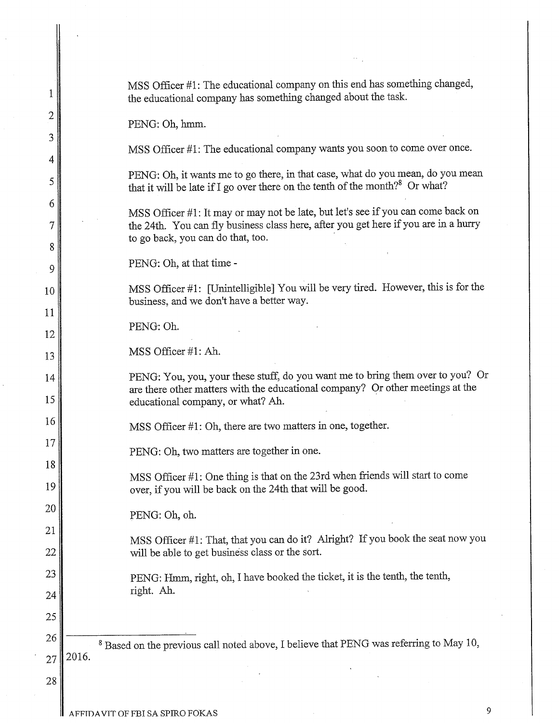| 1              | MSS Officer #1: The educational company on this end has something changed,<br>the educational company has something changed about the task.                                                                  |
|----------------|--------------------------------------------------------------------------------------------------------------------------------------------------------------------------------------------------------------|
| $\overline{c}$ | PENG: Oh, hmm.                                                                                                                                                                                               |
| 3<br>4         | MSS Officer #1: The educational company wants you soon to come over once.                                                                                                                                    |
| 5              | PENG: Oh, it wants me to go there, in that case, what do you mean, do you mean<br>that it will be late if I go over there on the tenth of the month? <sup>8</sup> Or what?                                   |
| 6              | MSS Officer #1: It may or may not be late, but let's see if you can come back on<br>the 24th. You can fly business class here, after you get here if you are in a hurry<br>to go back, you can do that, too. |
| 8<br>9         | PENG: Oh, at that time -                                                                                                                                                                                     |
| 10             | MSS Officer #1: [Unintelligible] You will be very tired. However, this is for the                                                                                                                            |
| 11             | business, and we don't have a better way.                                                                                                                                                                    |
| 12             | PENG: Oh.                                                                                                                                                                                                    |
| 13             | MSS Officer #1: Ah.                                                                                                                                                                                          |
| 14<br>15       | PENG: You, you, your these stuff, do you want me to bring them over to you? Or<br>are there other matters with the educational company? Or other meetings at the<br>educational company, or what? Ah.        |
| 16             | MSS Officer #1: Oh, there are two matters in one, together.                                                                                                                                                  |
| 17             | PENG: Oh, two matters are together in one.                                                                                                                                                                   |
| 18<br>19       | MSS Officer #1: One thing is that on the 23rd when friends will start to come<br>over, if you will be back on the 24th that will be good.                                                                    |
| 20             | PENG: Oh, oh.                                                                                                                                                                                                |
| 21             |                                                                                                                                                                                                              |
| 22             | MSS Officer #1: That, that you can do it? Alright? If you book the seat now you<br>will be able to get business class or the sort.                                                                           |
| 23             | PENG: Hmm, right, oh, I have booked the ticket, it is the tenth, the tenth,                                                                                                                                  |
| 24             | right. Ah.                                                                                                                                                                                                   |
| 25             |                                                                                                                                                                                                              |
| 26             | <sup>8</sup> Based on the previous call noted above, I believe that PENG was referring to May 10,                                                                                                            |
| 27             | 2016.                                                                                                                                                                                                        |
| 28             |                                                                                                                                                                                                              |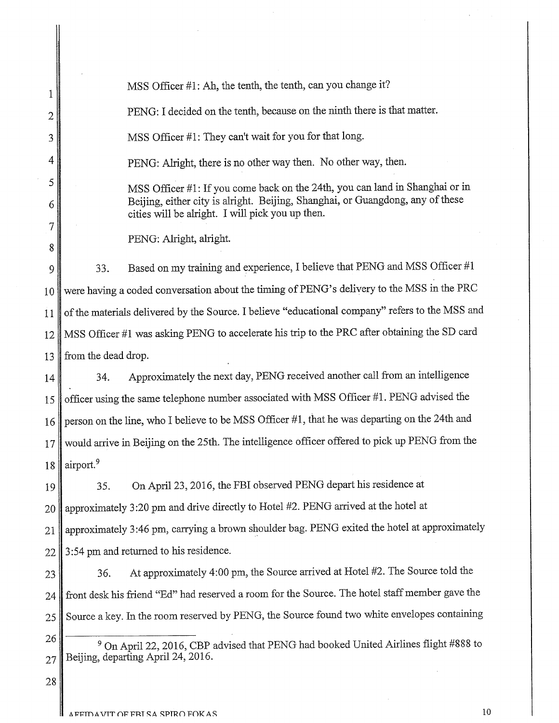1 2 3 MSS Officer #1: Ab, the tenth, the tenth, can you change it? PENG: I decided on the tenth, because on the ninth there is that matter. MSS Officer #1: They can't wait for you for that long. 4 PENG: Alright, there is no other way then. No other way, then. 5 6 7 8 9 MSS Officer #1: If you come back on the 24th, you can land in Shanghai or in Beijing, either city is alright. Beijing, Shanghai, or Guangdong, any of these cities will be alright. I will pick you up then. PENG: Alright, alright. 33. Based on my training and experience, I believe that PENG and MSS Officer #1 10 were having a coded conversation about the timing of PENG's delivery to the MSS in the PRC 11 of the materials delivered by the Source. I believe "educational company" refers to the MSS and 12 MSS Officer #1 was asking PENG to accelerate his trip to the PRC after obtaining the SD card 13 from the dead drop. 14 34. Approximately the next day, PENG received another call from an intelligence 15 officer using the same telephone number associated with MSS Officer #1. PENG advised the 16 person on the line, who I believe to be MSS Officer #1, that he was departing on the 24th and 17 would arrive in Beijing on the 25th. The intelligence officer offered to pick up PENG from the 18  $\vert$  airport.<sup>9</sup> 19 35. On April 23, 2016, the FBI observed PENG depart his residence at 20 approximately 3:20 pm and drive directly to Hotel #2. PENG arrived at the hotel at 21 | approximately 3:46 pm, carrying a brown shoulder bag. PENG exited the hotel at approximately 22 | 3:54 pm and returned to his residence. 23 36. At approximately 4:00 pm, the Source arrived at Hotel #2. The Source told the 24 front desk his friend "Ed" had reserved a room for the Source. The hotel staff member gave the 25 Source a key. In the room reserved by PENG, the Source found two white envelopes containing 26 <sup>9</sup> On April 22, 2016, CBP advised that PENG had booked United Airlines flight #888 to  $27$  Beijing, departing April 24, 2016. 28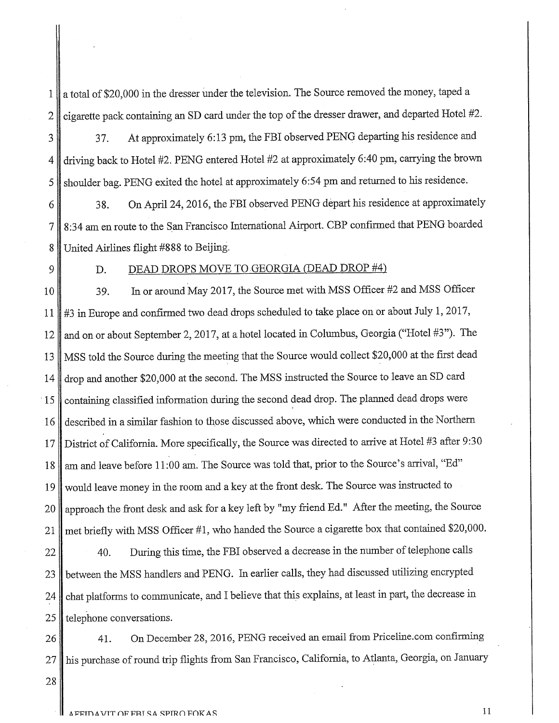1 a total of \$20,000 in the dresser under the television. The Source removed the money, taped a  $2 \parallel$  cigarette pack containing an SD card under the top of the dresser drawer, and departed Hotel #2.

3 37. At approximately 6:13 pm, the FBI observed PENG departing his residence and 4 driving back to Hotel #2. PENG entered Hotel #2 at approximately 6:40 pm, carrying the brown 5 shoulder bag. PENG exited the hotel at approximately 6:54 pm and returned to his residence.

6 38. On April 24, 2016, the FBI observed PENG depart his residence at approximately 7 8:34 am en route to the San Francisco International Airport. CBP confirmed that PENG boarded 8 United Airlines flight #888 to Beijing.

## 9 D. DEAD DROPS MOVE TO GEORGIA (DEAD DROP #4)

10 39. In or around May 2017, the Source met with MSS Officer #2 and MSS Officer **11** #3 in Europe and confirmed two dead drops scheduled to take place on or about July 1, 2017, 12 and on or about September 2, 2017, at a hotel located in Columbus, Georgia ("Hotel #3"). The 13 MSS told the Source during the meeting that the Source would collect \$20,000 at the first dead 14 drop and another \$20,000 at the second. The MSS instructed the Source to leave an SD card 15 containing classified information during the second dead drop. The planned dead drops were 16 described in a similar fashion to those discussed above, which were conducted in the Northern 17 District of California. More specifically, the Source was directed to arrive at Hotel #3 after 9:30 18 am and leave before 11:00 am. The Source was told that, prior to the Source's arrival, "Ed" 19 would leave money in the room and a key at the front desk. The Source was instructed to 20 approach the front desk and ask for a key left by "my friend Ed." After the meeting, the Source 21 met briefly with MSS Officer #1, who handed the Source a cigarette box that contained \$20,000.

 $\parallel$  40. During this time, the FBI observed a decrease in the number of telephone calls between the MSS handlers and PENG. In earlier calls, they had discussed utilizing encrypted 24 chat platforms to communicate, and I believe that this explains, at least in part, the decrease in telephone conversations.

26 41. On December 28, 2016, PENG received an email from Priceline.com confirming 27 his purchase of round trip flights from San Francisco, California, to Atlanta, Georgia, on January

28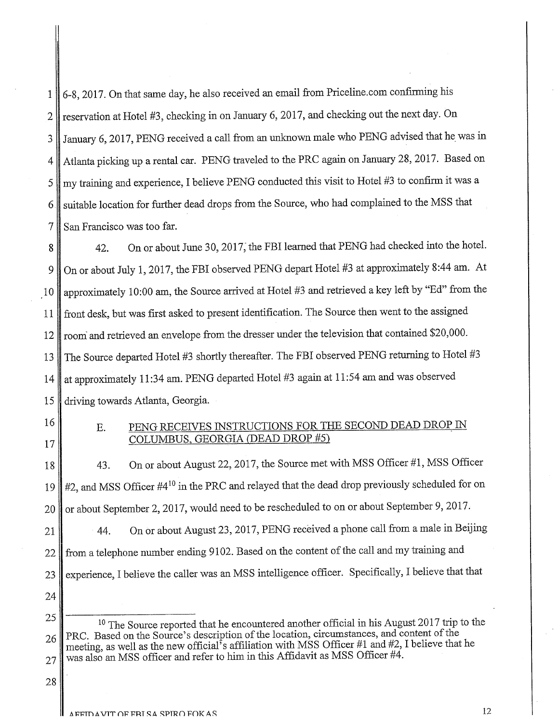1 6-8,2017. On that same day, he also received an email from Priceline.com confirming his 2 | reservation at Hotel #3, checking in on January 6, 2017, and checking out the next day. On 3 January 6, 2017, PENG received a call from an unknown male who PENG advised that he was in 4 Atlanta picking up a rental car. PENG traveled to the PRC again on January 28, 2017. Based on  $5 \parallel$  my training and experience, I believe PENG conducted this visit to Hotel #3 to confirm it was a 6. suitable location for further dead drops from the Source, who had complained to the MSS that 7 San Francisco was too far.

8 42. On or about June 30, 2017; the FBI learned that PENG had checked into the hotel. 9 On or about July 1, 2017, the FBI observed PENG depart Hotel #3 at approximately 8:44 am. At 10 approximately 10:00 am, the Source arrived at Hotel #3 and retrieved a key left by "Ed" from the 11 front desk, but was first asked to present identification. The Source then went to the assigned 12 || room and retrieved an envelope from the dresser under the television that contained \$20,000. 13 The Source departed Hotel #3 shortly thereafter. The FBI observed PENG returning to Hotel #3 14 at approximately 11:34 am. PENG departed Hotel #3 again at 11:54 am and was observed 15 driving towards Atlanta, Georgia.

# <sup>16</sup> E. PENG RECEIVES INSTRUCTIONS FOR THE SECOND DEAD DROP IN 17 COLUMBUS, GEORGIA (DEAD DROP #5)

18 43. On or about August 22, 2017, the Source met with MSS Officer #1, MSS Officer 19  $\#2$ , and MSS Officer #4<sup>10</sup> in the PRC and relayed that the dead drop previously scheduled for on 20 or about September 2, 2017, would need to be rescheduled to on or about September 9, 2017. 21 44. On or about August 23, 2017, PENG received a phone call from a male in Beijing 22 from a telephone number ending 9102. Based on the content of the call and my training and 23 experience, I believe the caller was an MSS intelligence officer. Specifically, I believe that that 24

25 <sup>10</sup> The Source reported that he encountered another official in his August 2017 trip to the 26 PRC. Based on the Source's description of the location, circumstances, and content of the meeting, as well as the new official's affiliation with MSS Officer #1 and #2, I believe that he  $27$  was also an MSS officer and refer to him in this Affidavit as MSS Officer #4.

28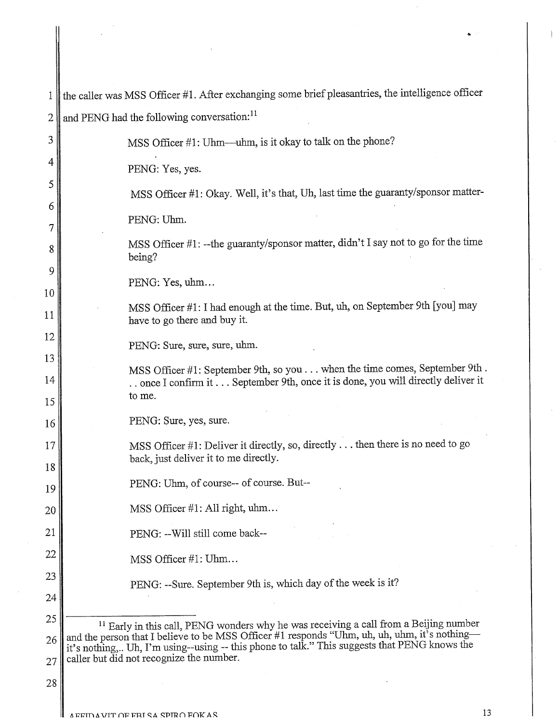| 1        | the caller was MSS Officer #1. After exchanging some brief pleasantries, the intelligence officer                                                                                            |
|----------|----------------------------------------------------------------------------------------------------------------------------------------------------------------------------------------------|
| 2        | and PENG had the following conversation: <sup>11</sup>                                                                                                                                       |
| 3        | MSS Officer #1: Uhm—uhm, is it okay to talk on the phone?                                                                                                                                    |
| 4        | PENG: Yes, yes.                                                                                                                                                                              |
| 5        | MSS Officer #1: Okay. Well, it's that, Uh, last time the guaranty/sponsor matter-                                                                                                            |
| 6        | PENG: Uhm.                                                                                                                                                                                   |
| 7        |                                                                                                                                                                                              |
| 8        | MSS Officer #1: -- the guaranty/sponsor matter, didn't I say not to go for the time<br>being?                                                                                                |
| 9        | PENG: Yes, uhm                                                                                                                                                                               |
| 10       | MSS Officer #1: I had enough at the time. But, uh, on September 9th [you] may                                                                                                                |
| 11       | have to go there and buy it.                                                                                                                                                                 |
| 12       | PENG: Sure, sure, sure, uhm.                                                                                                                                                                 |
| 13<br>14 | MSS Officer #1: September 9th, so you when the time comes, September 9th.                                                                                                                    |
| 15       | once I confirm it  September 9th, once it is done, you will directly deliver it<br>to me.                                                                                                    |
| 16       | PENG: Sure, yes, sure.                                                                                                                                                                       |
| 17       | MSS Officer $\#1$ : Deliver it directly, so, directly then there is no need to go                                                                                                            |
| 18       | back, just deliver it to me directly.                                                                                                                                                        |
| 19       | PENG: Uhm, of course-- of course. But--                                                                                                                                                      |
| 20       | MSS Officer #1: All right, uhm                                                                                                                                                               |
| 21       | PENG: -- Will still come back--                                                                                                                                                              |
| 22       | MSS Officer #1: Uhm                                                                                                                                                                          |
| 23       | PENG: --Sure. September 9th is, which day of the week is it?                                                                                                                                 |
| 24       |                                                                                                                                                                                              |
| 25       | <sup>11</sup> Early in this call, PENG wonders why he was receiving a call from a Beijing number                                                                                             |
| 26       | and the person that I believe to be MSS Officer #1 responds "Uhm, uh, uh, uhm, it's nothing-<br>it's nothing, Uh, I'm using--using -- this phone to talk." This suggests that PENG knows the |
| 27       | caller but did not recognize the number.                                                                                                                                                     |

I

•.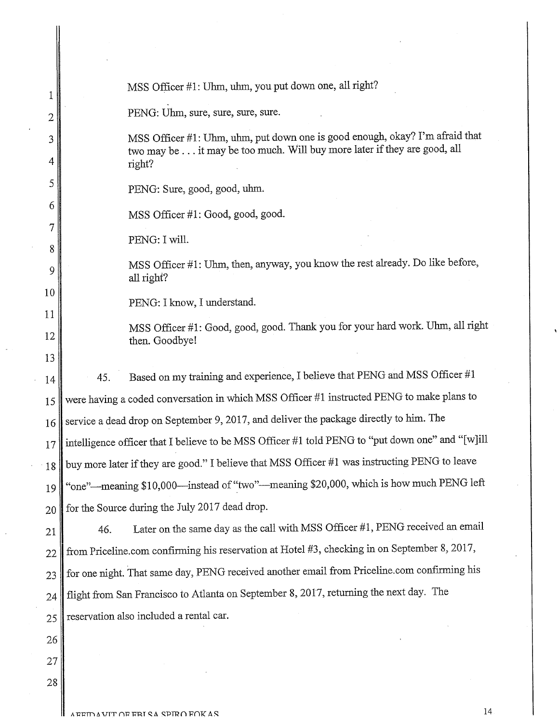| 1              |     | MSS Officer #1: Uhm, uhm, you put down one, all right?                                                                                                   |
|----------------|-----|----------------------------------------------------------------------------------------------------------------------------------------------------------|
| $\overline{2}$ |     | PENG: Uhm, sure, sure, sure, sure.                                                                                                                       |
| 3              |     | MSS Officer #1: Uhm, uhm, put down one is good enough, okay? I'm afraid that<br>two may be it may be too much. Will buy more later if they are good, all |
| 4              |     | right?                                                                                                                                                   |
| 5              |     | PENG: Sure, good, good, uhm.                                                                                                                             |
| 6              |     | MSS Officer #1: Good, good, good.                                                                                                                        |
| 7<br>8         |     | PENG: I will.                                                                                                                                            |
| 9              |     | MSS Officer #1: Uhm, then, anyway, you know the rest already. Do like before,<br>all right?                                                              |
| 10             |     | PENG: I know, I understand.                                                                                                                              |
| 11<br>12       |     | MSS Officer #1: Good, good, good. Thank you for your hard work. Uhm, all right<br>then. Goodbye!                                                         |
| 13             |     |                                                                                                                                                          |
| 14             | 45. | Based on my training and experience, I believe that PENG and MSS Officer #1                                                                              |
| 15             |     | were having a coded conversation in which MSS Officer #1 instructed PENG to make plans to                                                                |
| 16             |     | service a dead drop on September 9, 2017, and deliver the package directly to him. The                                                                   |
| 17             |     | intelligence officer that I believe to be MSS Officer #1 told PENG to "put down one" and "[w]ill                                                         |
| 18             |     | buy more later if they are good." I believe that MSS Officer #1 was instructing PENG to leave                                                            |
| 19             |     | "one"—meaning \$10,000—instead of "two"—meaning \$20,000, which is how much PENG left                                                                    |
| 20             |     | for the Source during the July 2017 dead drop.                                                                                                           |
| 21             | 46. | Later on the same day as the call with MSS Officer #1, PENG received an email                                                                            |
| 22             |     | from Priceline.com confirming his reservation at Hotel #3, checking in on September 8, 2017,                                                             |
| 23             |     | for one night. That same day, PENG received another email from Priceline.com confirming his                                                              |
| 24             |     | flight from San Francisco to Atlanta on September 8, 2017, returning the next day. The                                                                   |
| 25             |     | reservation also included a rental car.                                                                                                                  |
| 26             |     |                                                                                                                                                          |
| 27             |     |                                                                                                                                                          |
| 28             |     |                                                                                                                                                          |
|                |     |                                                                                                                                                          |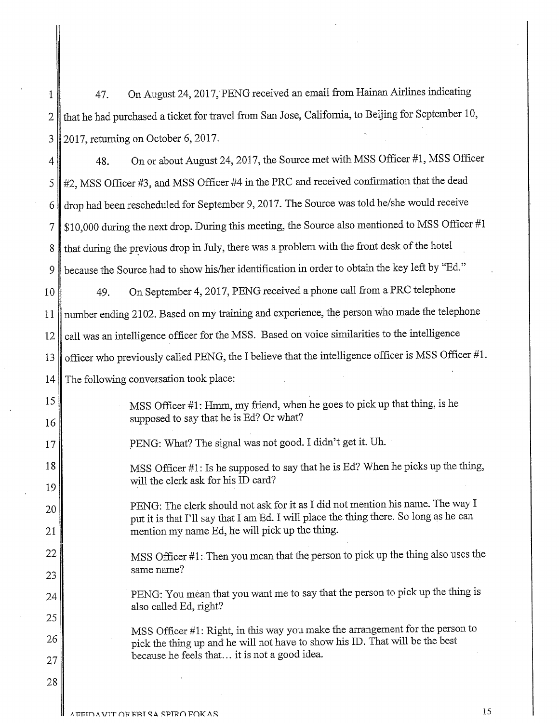1 47. On August 24,2017, PENG received an email from Hainan Airlines indicating  $2 \parallel$  that he had purchased a ticket for travel from San Jose, California, to Beijing for September 10, 3 2017, returning on October 6,2017. 4 48. On or about August 24, 2017, the Source met with MSS Officer #1, MSS Officer  $5 \parallel 42$ , MSS Officer  $\sharp 3$ , and MSS Officer  $\sharp 4$  in the PRC and received confirmation that the dead 6 drop had been rescheduled for September 9, 2017. The Source was told he/she would receive 7 \$10,000 during the next drop. During this meeting, the Source also mentioned to MSS OffIcer #1 8 that during the previous drop in July, there was a problem with the front desk of the hotel 9 because the Source had to show his/her identification in order to obtain the key left by "Ed." 10 49. On September 4, 2017, PENG received a phone call from a PRC telephone 11 number ending 2102. Based on my training and experience, the person who made the telephone 12 call was an intelligence officer for the MSS. Based on voice similarities to the intelligence 13 officer who previously called PENG, the I believe that the intelligence officer is MSS Officer  $#1$ . 14 The following conversation took place: 15 16 MSS Officer #1: Hmm, my friend, when he goes to pick up that thing, is he supposed to say that he is Ed? Or what? 17 PENG: What? The signal was not good. I didn't get it. Uh. 18 19 MSS Officer #1: Is he supposed to say that he is Ed? When he picks up the thing, will the clerk ask for his ID card? 20 PENG: The clerk should not ask for it as I did not mention his name. The way I put it is that I'll say that I am Ed. I will place the thing there. So long as he can 21 mention my name Ed, he will pick up the thing. 22 MSS Officer #1: Then you mean that the person to pick up the thing also uses the  $23$  same name? 24 PENG: You mean that you want me to say that the person to pick up the thing is also called Ed, right? 25 26 27 MSS Officer #1: Right, in this way you make the arrangement for the person to pick the thing up and he will not have to show his ID. That will be the best because he feels that... it is not a good idea. 28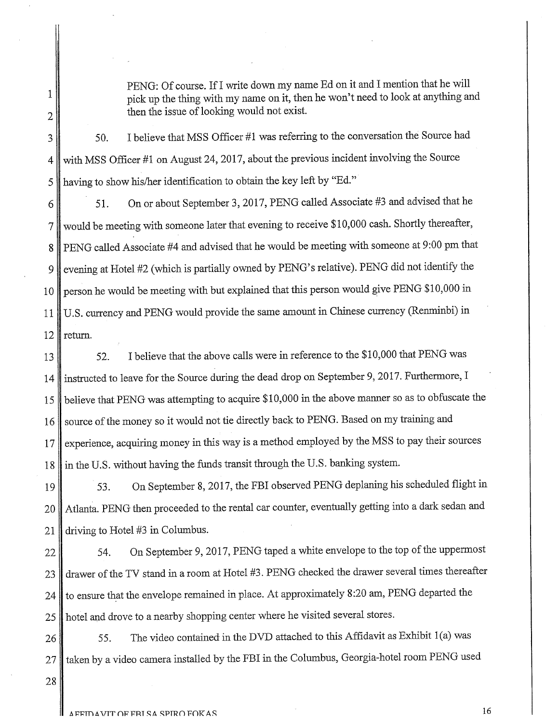PENG: Of course. If I write down my name Ed on it and I mention that he will pick up the thing with my name on it, then he won't need to look at anything and then the issue of looking would not exist.

3 50. I believe that MSS Officer #1 was referring to the conversation the Source had 4 with MSS Officer #1 on August 24, 2017, about the previous incident involving the Source 5 || having to show his/her identification to obtain the key left by "Ed."

51. On or about September 3,2017, PENG called Associate #3 and advised that he 6 7 would be meeting with someone later that evening to receive \$10,000 cash. Shortly thereafter, 8 PENG called Associate #4 and advised that he would be meeting with someone at 9:00 pm that 9 evening at Hotel #2 (which is partially owned by PENG's relative). PENG did not identify the 10 person he would be meeting with but explained that this person would give PENG \$10,000 in 11 U.S. currency and PENG would provide the same amount in Chinese currency (Renminbi) in  $12 \parallel$  return.

13 52. I believe that the above calls were in reference to the \$10,000 that PENG was 14 instructed to leave for the Source during the dead drop on September 9, 2017. Furthermore, I 15 believe that PENG was attempting to acquire \$10,000 in the above manner so as to obfuscate the 16 source of the money so it would not tie directly back to PENG. Based on my training and 17 experience, acquiring money in this way is a method employed by the MSS to pay their sources  $18$  in the U.S. without having the funds transit through the U.S. banking system.

19 63. On September 8, 2017, the FBI observed PENG deplaning his scheduled flight in 20 Atlanta. PENG then proceeded to the rental car counter, eventually getting into a dark sedan and 21 driving to Hotel #3 in Columbus.

22 64. On September 9, 2017, PENG taped a white envelope to the top of the uppermost 23 drawer of the TV stand in a room at Hotel #3. PENG checked the drawer several times thereafter 24 to ensure that the envelope remained in place. At approximately 8:20 am, PENG departed the 25 hotel and drove to a nearby shopping center where he visited several stores.

26 75. The video contained in the DVD attached to this Affidavit as Exhibit 1(a) was 27 I taken by a video camera installed by the FBI in the Columbus, Georgia-hotel room PENG used

28

1

2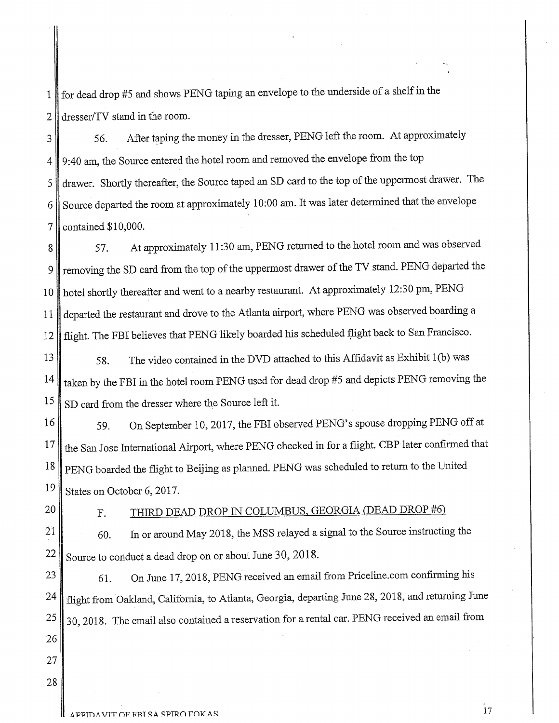1 for dead drop #5 and shows PENG taping an envelope to the underside of a shelf in the 2 dresser/TV stand in the room.

3 56. After taping the money in the dresser, PENG left the room. At approximately 4 9:40 am, the Source entered the hotel room and removed the envelope from the top 5 drawer. Shortly thereafter, the Source taped an SD card to the top of the uppermost drawer. The  $6 \parallel$  Source departed the room at approximately 10:00 am. It was later determined that the envelope 7 contained \$10,000.

8 57. At approximately 11:30 am, PENG returned to the hotel room and was observed 9 removing the SD card from the top of the uppermost drawer of the TV stand. PENG departed the 10 hotel shortly thereafter and went to a nearby restaurant. At approximately 12:30 pm, PENG 11 departed the restaurant and drove to the Atlanta airport, where PENG was observed boarding a 12 flight. The FBI believes that PENG likely boarded his scheduled flight back to San Francisco.

58. The video contained in the DVD attached to this Affidavit as Exhibit 1(b) was 14 taken by the FBI in the hotel room PENG used for dead drop #5 and depicts PENG removing the 13  $15 \parallel$  SD card from the dresser where the Source left it.

59. On September 10,2017, the FBI observed PENG's spouse dropping PENG off at 16 17 the San Jose International Airport, where PENG checked in for a flight. CBP later confirmed that 18 PENG boarded the flight to Beijing as planned. PENG was scheduled to return to the United  $19 \text{ Kates on October 6, } 2017.$ 

23 21

26

27

28

# 20 F. THIRD DEAD DROP IN COLUMBUS, GEORGIA (DEAD DROP #6)

60. In or around May 2018, the MSS relayed a signal to the Source instructing the  $22 \text{ s}$  Source to conduct a dead drop on or about June 30, 2018.

61. On June 17,2018, PENG received an email from Priceline.com confirming his 24 flight from Oakland, California, to Atlanta, Georgia, departing June 28, 2018, and returning June  $25 \parallel 30$ , 2018. The email also contained a reservation for a rental car. PENG received an email from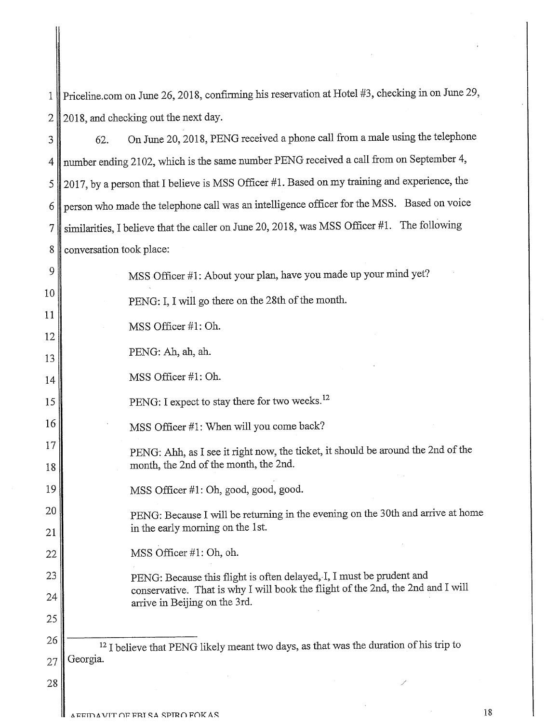1 Priceline.com on June 26, 2018, confirming his reservation at Hotel #3, checking in on June 29,  $2 \parallel 2018$ , and checking out the next day.

| 3        | 62.                      | On June 20, 2018, PENG received a phone call from a male using the telephone                                              |
|----------|--------------------------|---------------------------------------------------------------------------------------------------------------------------|
| 4        |                          | number ending 2102, which is the same number PENG received a call from on September 4,                                    |
| 5        |                          | 2017, by a person that I believe is MSS Officer #1. Based on my training and experience, the                              |
| 6        |                          | person who made the telephone call was an intelligence officer for the MSS. Based on voice                                |
| 7        |                          | similarities, I believe that the caller on June 20, 2018, was MSS Officer #1. The following                               |
| 8        | conversation took place: |                                                                                                                           |
| 9        |                          | MSS Officer #1: About your plan, have you made up your mind yet?                                                          |
| 10       |                          | PENG: I, I will go there on the 28th of the month.                                                                        |
| 11       |                          | MSS Officer #1: Oh.                                                                                                       |
| 12       |                          | PENG: Ah, ah, ah.                                                                                                         |
| 13       |                          | MSS Officer #1: Oh.                                                                                                       |
| 14<br>15 |                          | PENG: I expect to stay there for two weeks. <sup>12</sup>                                                                 |
| 16       |                          |                                                                                                                           |
| 17       |                          | MSS Officer #1: When will you come back?                                                                                  |
| 18       |                          | PENG: Ahh, as I see it right now, the ticket, it should be around the 2nd of the<br>month, the 2nd of the month, the 2nd. |
| 19       |                          | MSS Officer #1: Oh, good, good, good.                                                                                     |
| 20       |                          | PENG: Because I will be returning in the evening on the 30th and arrive at home                                           |
| 21       |                          | in the early morning on the 1st.                                                                                          |
| 22       |                          | MSS Officer #1: Oh, oh.                                                                                                   |
| 23       |                          | PENG: Because this flight is often delayed, I, I must be prudent and                                                      |
| 24       |                          | conservative. That is why I will book the flight of the 2nd, the 2nd and I will<br>arrive in Beijing on the 3rd.          |
| 25       |                          |                                                                                                                           |
| 26       |                          | <sup>12</sup> I believe that PENG likely meant two days, as that was the duration of his trip to                          |
| 27       | Georgia.                 |                                                                                                                           |
| 28       |                          |                                                                                                                           |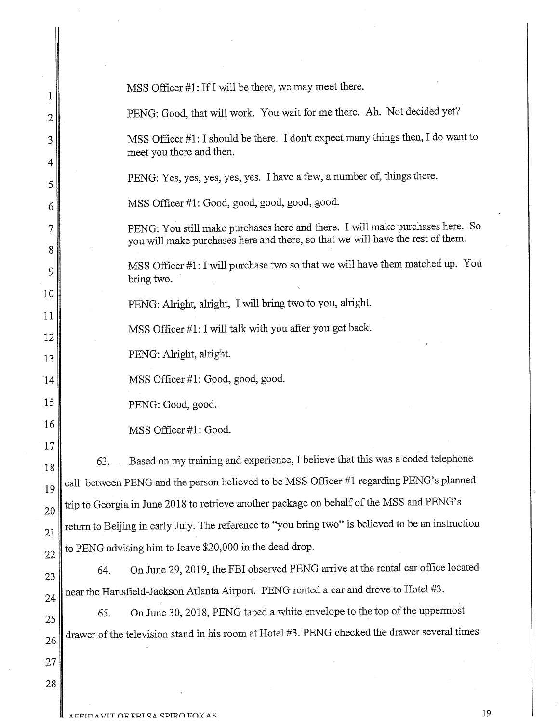| 1              | MSS Officer #1: If I will be there, we may meet there.                                                                                                          |
|----------------|-----------------------------------------------------------------------------------------------------------------------------------------------------------------|
| $\overline{2}$ | PENG: Good, that will work. You wait for me there. Ah. Not decided yet?                                                                                         |
| 3              | MSS Officer #1: I should be there. I don't expect many things then, I do want to<br>meet you there and then.                                                    |
| 4<br>5         | PENG: Yes, yes, yes, yes, yes. I have a few, a number of, things there.                                                                                         |
| 6              | MSS Officer #1: Good, good, good, good, good.                                                                                                                   |
| 7<br>8         | PENG: You still make purchases here and there. I will make purchases here. So<br>you will make purchases here and there, so that we will have the rest of them. |
| 9              | MSS Officer #1: I will purchase two so that we will have them matched up. You<br>bring two.                                                                     |
| 10             | PENG: Alright, alright, I will bring two to you, alright.                                                                                                       |
| 11<br>12       | MSS Officer #1: I will talk with you after you get back.                                                                                                        |
| 13             | PENG: Alright, alright.                                                                                                                                         |
| 14             | MSS Officer #1: Good, good, good.                                                                                                                               |
| 15             | PENG: Good, good.                                                                                                                                               |
| 16             | MSS Officer #1: Good.                                                                                                                                           |
| 17             | Based on my training and experience, I believe that this was a coded telephone<br>63.                                                                           |
| 18             | call between PENG and the person believed to be MSS Officer #1 regarding PENG's planned                                                                         |
| 19             | trip to Georgia in June 2018 to retrieve another package on behalf of the MSS and PENG's                                                                        |
| 20<br>21       | return to Beijing in early July. The reference to "you bring two" is believed to be an instruction                                                              |
| 22             | to PENG advising him to leave \$20,000 in the dead drop.                                                                                                        |
| 23             | On June 29, 2019, the FBI observed PENG arrive at the rental car office located<br>64.                                                                          |
| 24             | near the Hartsfield-Jackson Atlanta Airport. PENG rented a car and drove to Hotel #3.                                                                           |
| 25             | On June 30, 2018, PENG taped a white envelope to the top of the uppermost<br>65.                                                                                |
| 26             | drawer of the television stand in his room at Hotel #3. PENG checked the drawer several times                                                                   |
| 27             |                                                                                                                                                                 |
| 28             |                                                                                                                                                                 |

II.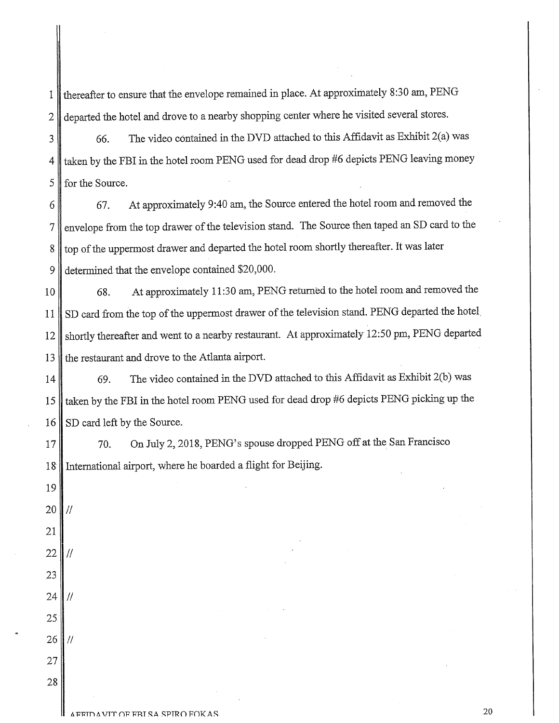1 thereafter to ensure that the envelope remained in place. At approximately 8:30 am, PENG 2 departed the hotel and drove to a nearby shopping center where he visited several stores.

 $3 \parallel$  66. The video contained in the DVD attached to this Affidavit as Exhibit 2(a) was 4 taken by the FBI in the hotel room PENG used for dead drop #6 depicts PENG leaving money 5 for the Source.

6 67. At approximately 9:40 am, the Source entered the hotel room and removed the 7 envelope from the top drawer of the television stand. The Source then taped an SD card to the 8 top of the uppermost drawer and departed the hotel room shortly thereafter. It was later 9 determined that the envelope contained \$20,000.

10 68. At approximately 11:30 am, PENG returned to the hotel room and removed the 11 SD card from the top of the uppermost drawer of the television stand. PENG departed the hotel 12 shortly thereafter and went to a nearby restaurant. At approximately 12:50 pm, PENG departed 13 the restaurant and drove to the Atlanta airport.

14 69. The video contained in the DVD attached to this Affidavit as Exhibit 2(b) was 15 taken by the FBI in the hotel room PENG used for dead drop #6 depicts PENG picking up the 16 SD card left by the Source.

19

17 70. On July 2, 2018, PENG's spouse dropped PENG off at the San Francisco 18 International airport, where he boarded a flight for Beijing.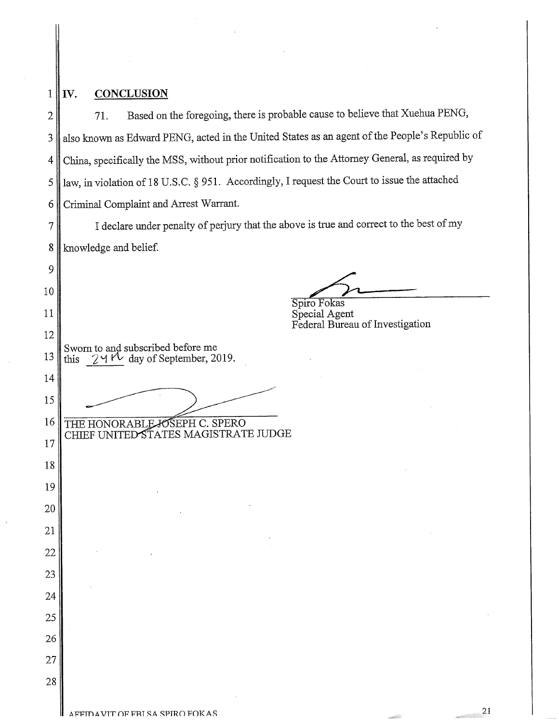| 1              | <b>CONCLUSION</b><br>IV.                                                                        |
|----------------|-------------------------------------------------------------------------------------------------|
| $\overline{2}$ | Based on the foregoing, there is probable cause to believe that Xuehua PENG,<br>71.             |
| 3              | also known as Edward PENG, acted in the United States as an agent of the People's Republic of   |
| 4              | China, specifically the MSS, without prior notification to the Attorney General, as required by |
| 5              | law, in violation of 18 U.S.C. § 951. Accordingly, I request the Court to issue the attached    |
| 6              | Criminal Complaint and Arrest Warrant.                                                          |
| 7              | I declare under penalty of perjury that the above is true and correct to the best of my         |
| 8              | knowledge and belief.                                                                           |
| 9              |                                                                                                 |
| 10             | Spiro Fokas                                                                                     |
| 11             | Special Agent<br>Federal Bureau of Investigation                                                |
| 12             |                                                                                                 |
| 13             | Sworn to and subscribed before me<br>this $24 \text{ V}$ day of September, 2019.                |
| 14             |                                                                                                 |
| 15             |                                                                                                 |
| 16             | THE HONORABLE JOSEPH C. SPERO<br>CHIEF UNITED STATES MAGISTRATE JUDGE                           |
| 17             |                                                                                                 |
| 18<br>19       |                                                                                                 |
| 20             |                                                                                                 |
| 21             |                                                                                                 |
| 22             |                                                                                                 |
| 23             |                                                                                                 |
| 24             |                                                                                                 |
| 25             |                                                                                                 |
| 26             |                                                                                                 |
| 27             |                                                                                                 |
| 28             |                                                                                                 |
|                | 21<br>AFFIDAVIT OF FRI SA SPIRO FOKAS                                                           |